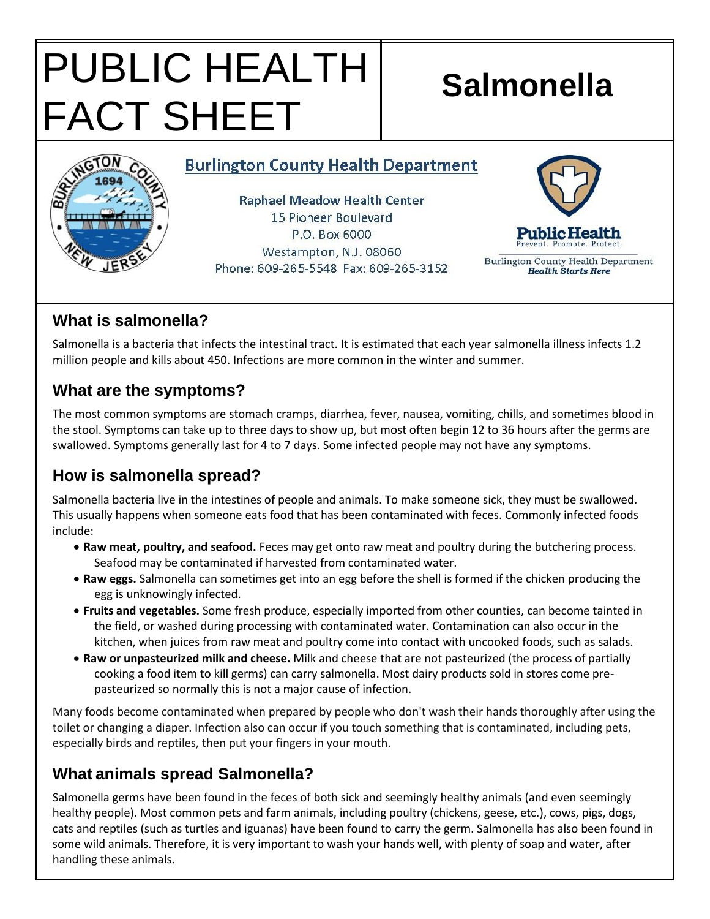# PUBLIC HEALTH FACT SHEET

# **Salmonella**

#### **Burlington County Health Department**

**Raphael Meadow Health Center** 15 Pioneer Boulevard P.O. Box 6000 Westampton, N.J. 08060 Phone: 609-265-5548 Fax: 609-265-3152



Burlington County Health Department **Health Starts Here** 

# **What is salmonella?**

Salmonella is a bacteria that infects the intestinal tract. It is estimated that each year salmonella illness infects 1.2 million people and kills about 450. Infections are more common in the winter and summer.

## **What are the symptoms?**

The most common symptoms are stomach cramps, diarrhea, fever, nausea, vomiting, chills, and sometimes blood in the stool. Symptoms can take up to three days to show up, but most often begin 12 to 36 hours after the germs are swallowed. Symptoms generally last for 4 to 7 days. Some infected people may not have any symptoms.

# **How is salmonella spread?**

Salmonella bacteria live in the intestines of people and animals. To make someone sick, they must be swallowed. This usually happens when someone eats food that has been contaminated with feces. Commonly infected foods include:

- **Raw meat, poultry, and seafood.** Feces may get onto raw meat and poultry during the butchering process. Seafood may be contaminated if harvested from contaminated water.
- **Raw eggs.** Salmonella can sometimes get into an egg before the shell is formed if the chicken producing the egg is unknowingly infected.
- **Fruits and vegetables.** Some fresh produce, especially imported from other counties, can become tainted in the field, or washed during processing with contaminated water. Contamination can also occur in the kitchen, when juices from raw meat and poultry come into contact with uncooked foods, such as salads.
- **Raw or unpasteurized milk and cheese.** Milk and cheese that are not pasteurized (the process of partially cooking a food item to kill germs) can carry salmonella. Most dairy products sold in stores come prepasteurized so normally this is not a major cause of infection.

Many foods become contaminated when prepared by people who don't wash their hands thoroughly after using the toilet or changing a diaper. Infection also can occur if you touch something that is contaminated, including pets, especially birds and reptiles, then put your fingers in your mouth.

# **What animals spread Salmonella?**

Salmonella germs have been found in the feces of both sick and seemingly healthy animals (and even seemingly healthy people). Most common pets and farm animals, including poultry (chickens, geese, etc.), cows, pigs, dogs, cats and reptiles (such as turtles and iguanas) have been found to carry the germ. Salmonella has also been found in some wild animals. Therefore, it is very important to wash your hands well, with plenty of soap and water, after handling these animals.